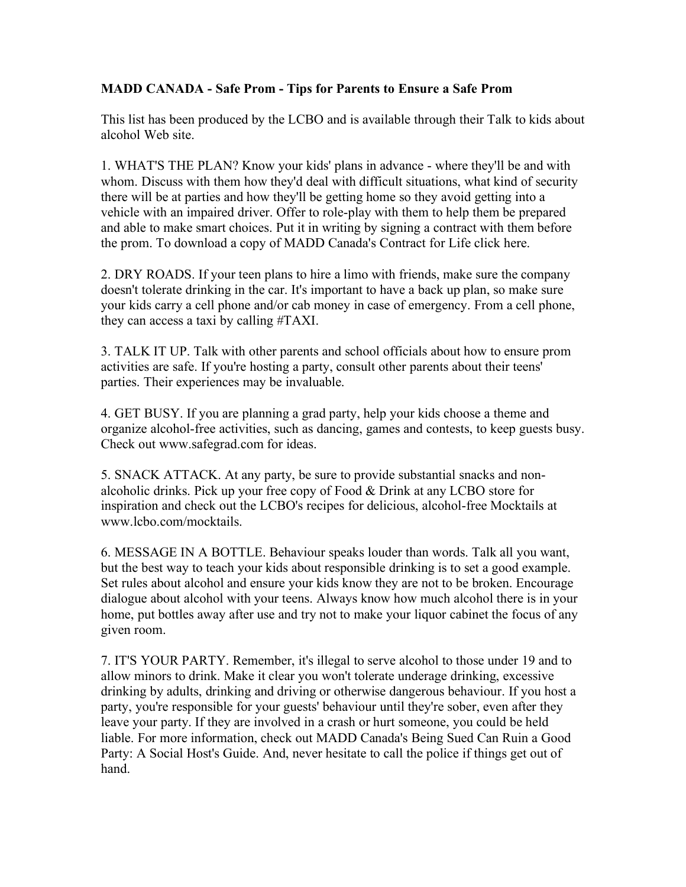## **MADD CANADA - Safe Prom - Tips for Parents to Ensure a Safe Prom**

This list has been produced by the LCBO and is available through their Talk to kids about alcohol Web site.

1. WHAT'S THE PLAN? Know your kids' plans in advance - where they'll be and with whom. Discuss with them how they'd deal with difficult situations, what kind of security there will be at parties and how they'll be getting home so they avoid getting into a vehicle with an impaired driver. Offer to role-play with them to help them be prepared and able to make smart choices. Put it in writing by signing a contract with them before the prom. To download a copy of MADD Canada's Contract for Life click here.

2. DRY ROADS. If your teen plans to hire a limo with friends, make sure the company doesn't tolerate drinking in the car. It's important to have a back up plan, so make sure your kids carry a cell phone and/or cab money in case of emergency. From a cell phone, they can access a taxi by calling #TAXI.

3. TALK IT UP. Talk with other parents and school officials about how to ensure prom activities are safe. If you're hosting a party, consult other parents about their teens' parties. Their experiences may be invaluable.

4. GET BUSY. If you are planning a grad party, help your kids choose a theme and organize alcohol-free activities, such as dancing, games and contests, to keep guests busy. Check out www.safegrad.com for ideas.

5. SNACK ATTACK. At any party, be sure to provide substantial snacks and nonalcoholic drinks. Pick up your free copy of Food & Drink at any LCBO store for inspiration and check out the LCBO's recipes for delicious, alcohol-free Mocktails at www.lcbo.com/mocktails.

6. MESSAGE IN A BOTTLE. Behaviour speaks louder than words. Talk all you want, but the best way to teach your kids about responsible drinking is to set a good example. Set rules about alcohol and ensure your kids know they are not to be broken. Encourage dialogue about alcohol with your teens. Always know how much alcohol there is in your home, put bottles away after use and try not to make your liquor cabinet the focus of any given room.

7. IT'S YOUR PARTY. Remember, it's illegal to serve alcohol to those under 19 and to allow minors to drink. Make it clear you won't tolerate underage drinking, excessive drinking by adults, drinking and driving or otherwise dangerous behaviour. If you host a party, you're responsible for your guests' behaviour until they're sober, even after they leave your party. If they are involved in a crash or hurt someone, you could be held liable. For more information, check out MADD Canada's Being Sued Can Ruin a Good Party: A Social Host's Guide. And, never hesitate to call the police if things get out of hand.